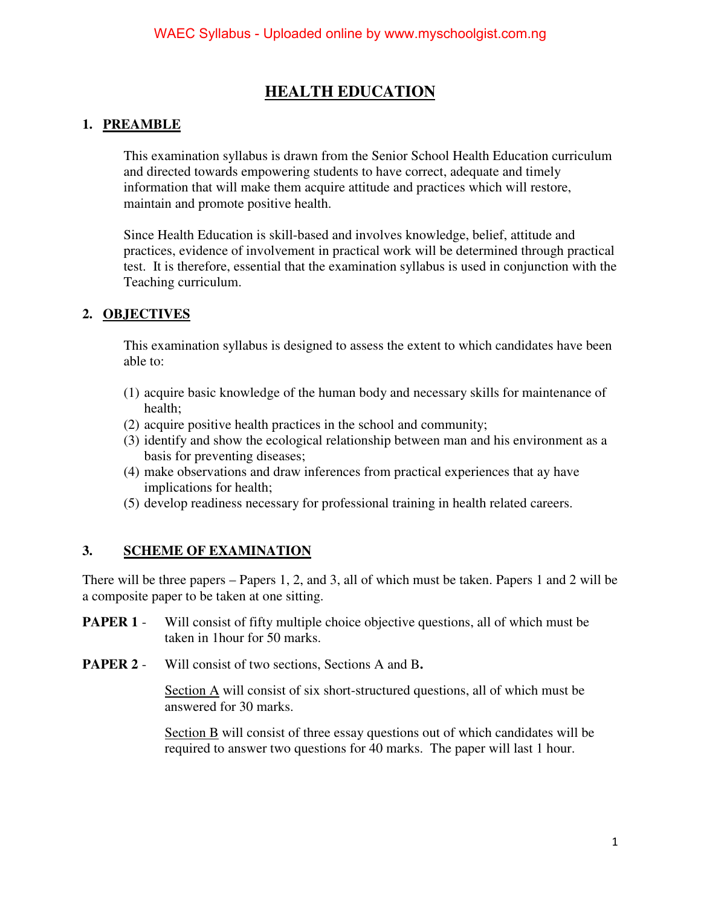### **HEALTH EDUCATION**

#### **1. PREAMBLE**

This examination syllabus is drawn from the Senior School Health Education curriculum and directed towards empowering students to have correct, adequate and timely information that will make them acquire attitude and practices which will restore, maintain and promote positive health.

Since Health Education is skill-based and involves knowledge, belief, attitude and practices, evidence of involvement in practical work will be determined through practical test. It is therefore, essential that the examination syllabus is used in conjunction with the Teaching curriculum.

#### **2. OBJECTIVES**

This examination syllabus is designed to assess the extent to which candidates have been able to:

- (1) acquire basic knowledge of the human body and necessary skills for maintenance of health;
- (2) acquire positive health practices in the school and community;
- (3) identify and show the ecological relationship between man and his environment as a basis for preventing diseases;
- (4) make observations and draw inferences from practical experiences that ay have implications for health;
- (5) develop readiness necessary for professional training in health related careers.

#### **3. SCHEME OF EXAMINATION**

There will be three papers – Papers 1, 2, and 3, all of which must be taken. Papers 1 and 2 will be a composite paper to be taken at one sitting.

- **PAPER 1** Will consist of fifty multiple choice objective questions, all of which must be taken in 1hour for 50 marks.
- **PAPER 2** Will consist of two sections, Sections A and B**.**

Section A will consist of six short-structured questions, all of which must be answered for 30 marks.

Section B will consist of three essay questions out of which candidates will be required to answer two questions for 40 marks. The paper will last 1 hour.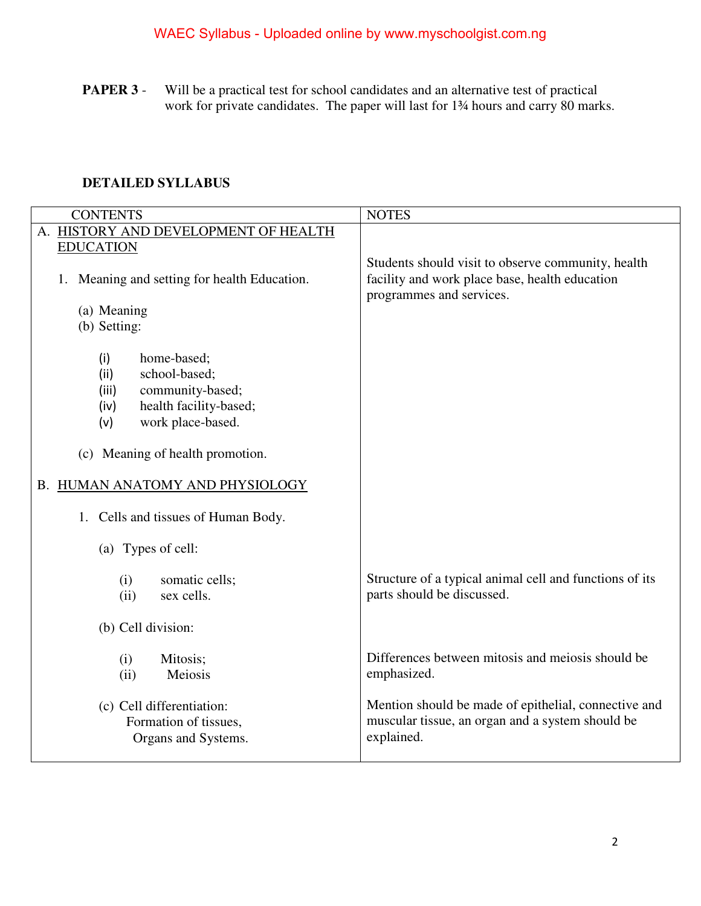**PAPER 3** - Will be a practical test for school candidates and an alternative test of practical work for private candidates. The paper will last for 1<sup>3</sup>/4 hours and carry 80 marks.

### **DETAILED SYLLABUS**

| <b>CONTENTS</b>                                                                                                                        | <b>NOTES</b>                                                                                                                     |
|----------------------------------------------------------------------------------------------------------------------------------------|----------------------------------------------------------------------------------------------------------------------------------|
| A. HISTORY AND DEVELOPMENT OF HEALTH                                                                                                   |                                                                                                                                  |
| <b>EDUCATION</b>                                                                                                                       |                                                                                                                                  |
| 1. Meaning and setting for health Education.                                                                                           | Students should visit to observe community, health<br>facility and work place base, health education<br>programmes and services. |
| (a) Meaning                                                                                                                            |                                                                                                                                  |
| (b) Setting:                                                                                                                           |                                                                                                                                  |
| home-based;<br>(i)<br>school-based;<br>(ii)<br>community-based;<br>(iii)<br>health facility-based;<br>(iv)<br>work place-based.<br>(v) |                                                                                                                                  |
| (c) Meaning of health promotion.                                                                                                       |                                                                                                                                  |
| B. HUMAN ANATOMY AND PHYSIOLOGY                                                                                                        |                                                                                                                                  |
| 1. Cells and tissues of Human Body.                                                                                                    |                                                                                                                                  |
| (a) Types of cell:                                                                                                                     |                                                                                                                                  |
| somatic cells;<br>(i)<br>sex cells.<br>(ii)                                                                                            | Structure of a typical animal cell and functions of its<br>parts should be discussed.                                            |
| (b) Cell division:                                                                                                                     |                                                                                                                                  |
| Mitosis;<br>(i)<br>(ii)<br>Meiosis                                                                                                     | Differences between mitosis and meiosis should be<br>emphasized.                                                                 |
| (c) Cell differentiation:<br>Formation of tissues,<br>Organs and Systems.                                                              | Mention should be made of epithelial, connective and<br>muscular tissue, an organ and a system should be<br>explained.           |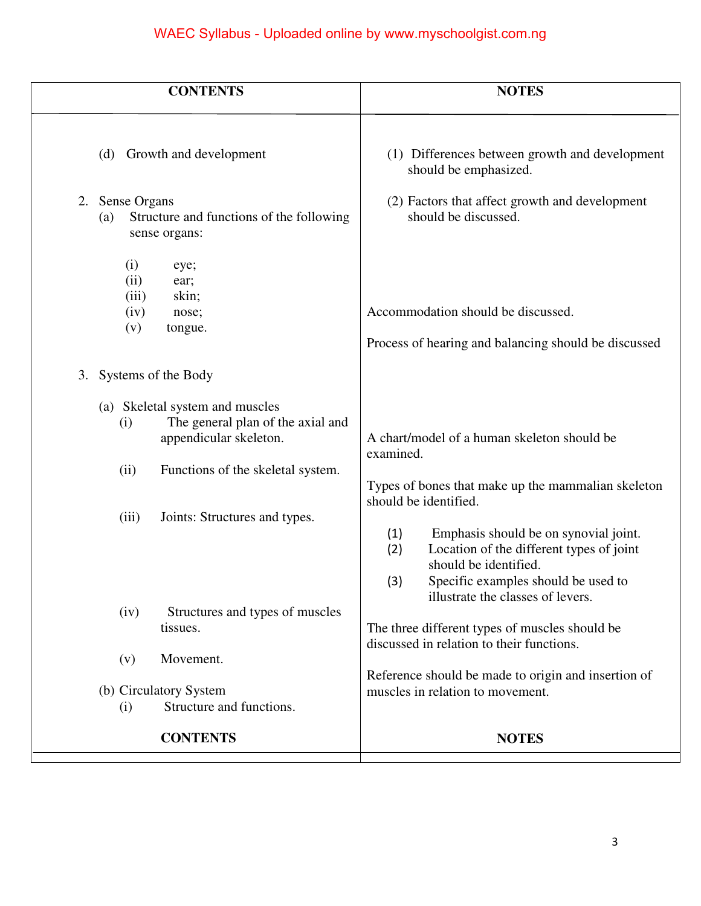| <b>NOTES</b>                                                                                                                                                                                                |
|-------------------------------------------------------------------------------------------------------------------------------------------------------------------------------------------------------------|
| (1) Differences between growth and development<br>should be emphasized.                                                                                                                                     |
| (2) Factors that affect growth and development<br>should be discussed.                                                                                                                                      |
| Accommodation should be discussed.<br>Process of hearing and balancing should be discussed                                                                                                                  |
|                                                                                                                                                                                                             |
| A chart/model of a human skeleton should be                                                                                                                                                                 |
| examined.<br>Types of bones that make up the mammalian skeleton<br>should be identified.                                                                                                                    |
| Emphasis should be on synovial joint.<br>(1)<br>Location of the different types of joint<br>(2)<br>should be identified.<br>(3)<br>Specific examples should be used to<br>illustrate the classes of levers. |
| The three different types of muscles should be<br>discussed in relation to their functions.                                                                                                                 |
|                                                                                                                                                                                                             |
| Reference should be made to origin and insertion of<br>muscles in relation to movement.                                                                                                                     |
| <b>NOTES</b>                                                                                                                                                                                                |
|                                                                                                                                                                                                             |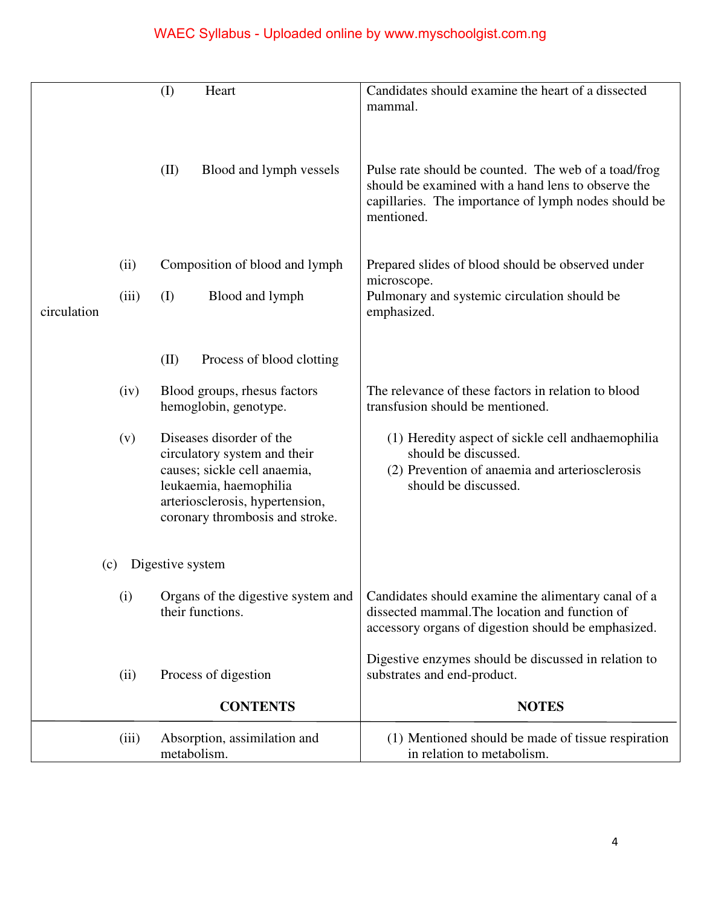|             |       | Heart<br>(I)                                                                                                                                                                             | Candidates should examine the heart of a dissected<br>mammal.                                                                                                                    |
|-------------|-------|------------------------------------------------------------------------------------------------------------------------------------------------------------------------------------------|----------------------------------------------------------------------------------------------------------------------------------------------------------------------------------|
|             |       | (II)<br>Blood and lymph vessels                                                                                                                                                          | Pulse rate should be counted. The web of a toad/frog<br>should be examined with a hand lens to observe the<br>capillaries. The importance of lymph nodes should be<br>mentioned. |
|             | (ii)  | Composition of blood and lymph                                                                                                                                                           | Prepared slides of blood should be observed under                                                                                                                                |
| circulation | (iii) | (I)<br>Blood and lymph                                                                                                                                                                   | microscope.<br>Pulmonary and systemic circulation should be<br>emphasized.                                                                                                       |
|             |       | (II)<br>Process of blood clotting                                                                                                                                                        |                                                                                                                                                                                  |
|             | (iv)  | Blood groups, rhesus factors<br>hemoglobin, genotype.                                                                                                                                    | The relevance of these factors in relation to blood<br>transfusion should be mentioned.                                                                                          |
|             | (v)   | Diseases disorder of the<br>circulatory system and their<br>causes; sickle cell anaemia,<br>leukaemia, haemophilia<br>arteriosclerosis, hypertension,<br>coronary thrombosis and stroke. | (1) Heredity aspect of sickle cell and haemophilia<br>should be discussed.<br>(2) Prevention of anaemia and arteriosclerosis<br>should be discussed.                             |
|             | (c)   | Digestive system                                                                                                                                                                         |                                                                                                                                                                                  |
|             | (i)   | Organs of the digestive system and<br>their functions.                                                                                                                                   | Candidates should examine the alimentary canal of a<br>dissected mammal. The location and function of<br>accessory organs of digestion should be emphasized.                     |
|             | (ii)  | Process of digestion                                                                                                                                                                     | Digestive enzymes should be discussed in relation to<br>substrates and end-product.                                                                                              |
|             |       | <b>CONTENTS</b>                                                                                                                                                                          | <b>NOTES</b>                                                                                                                                                                     |
|             | (iii) | Absorption, assimilation and<br>metabolism.                                                                                                                                              | (1) Mentioned should be made of tissue respiration<br>in relation to metabolism.                                                                                                 |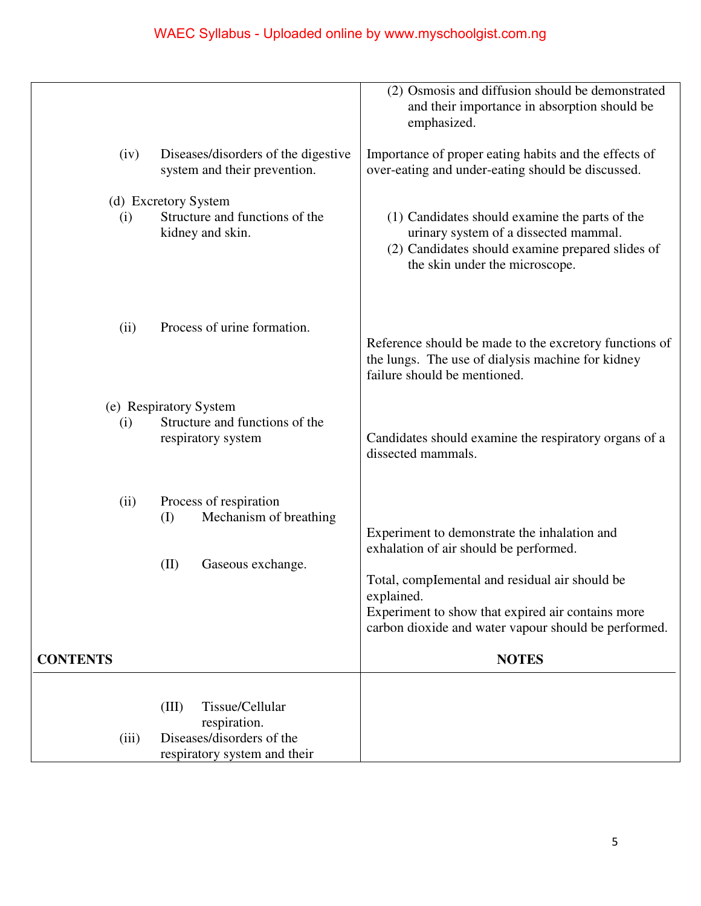|                         |                                                                                                       | (2) Osmosis and diffusion should be demonstrated<br>and their importance in absorption should be<br>emphasized.                                                                                                                                                                     |
|-------------------------|-------------------------------------------------------------------------------------------------------|-------------------------------------------------------------------------------------------------------------------------------------------------------------------------------------------------------------------------------------------------------------------------------------|
| (iv)                    | Diseases/disorders of the digestive<br>system and their prevention.                                   | Importance of proper eating habits and the effects of<br>over-eating and under-eating should be discussed.                                                                                                                                                                          |
|                         | (d) Excretory System                                                                                  |                                                                                                                                                                                                                                                                                     |
| (i)                     | Structure and functions of the<br>kidney and skin.                                                    | (1) Candidates should examine the parts of the<br>urinary system of a dissected mammal.<br>(2) Candidates should examine prepared slides of<br>the skin under the microscope.                                                                                                       |
| (ii)                    | Process of urine formation.                                                                           | Reference should be made to the excretory functions of<br>the lungs. The use of dialysis machine for kidney<br>failure should be mentioned.                                                                                                                                         |
|                         | (e) Respiratory System                                                                                |                                                                                                                                                                                                                                                                                     |
| (i)                     | Structure and functions of the<br>respiratory system                                                  | Candidates should examine the respiratory organs of a<br>dissected mammals.                                                                                                                                                                                                         |
| (ii)<br><b>CONTENTS</b> | Process of respiration<br>Mechanism of breathing<br>(I)<br>(II)<br>Gaseous exchange.                  | Experiment to demonstrate the inhalation and<br>exhalation of air should be performed.<br>Total, complemental and residual air should be<br>explained.<br>Experiment to show that expired air contains more<br>carbon dioxide and water vapour should be performed.<br><b>NOTES</b> |
| (iii)                   | Tissue/Cellular<br>(III)<br>respiration.<br>Diseases/disorders of the<br>respiratory system and their |                                                                                                                                                                                                                                                                                     |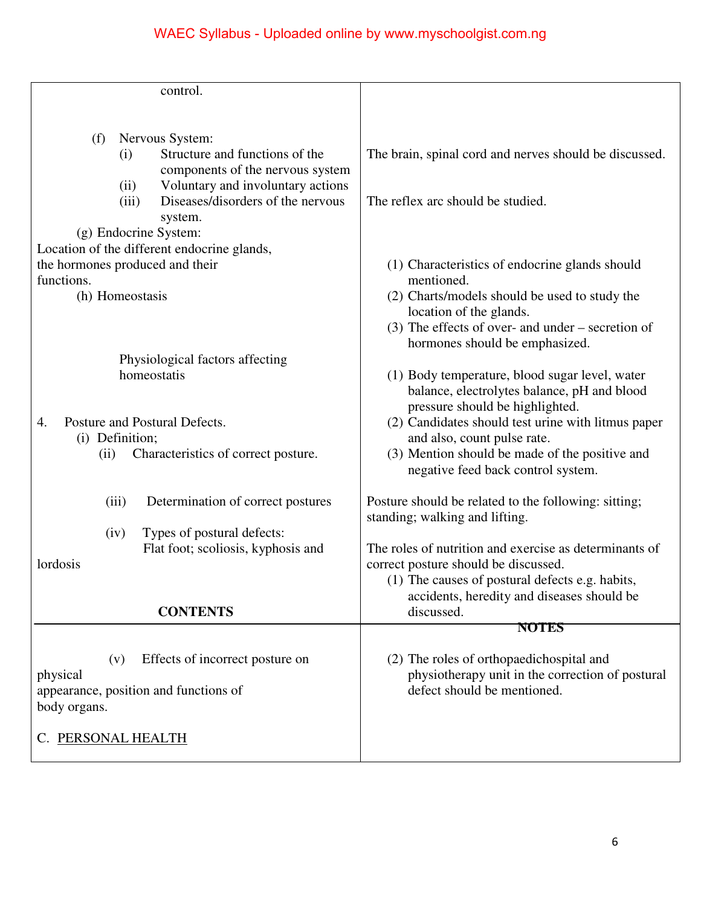|                                       |       | control.                                                             |                                                                               |
|---------------------------------------|-------|----------------------------------------------------------------------|-------------------------------------------------------------------------------|
|                                       |       |                                                                      |                                                                               |
|                                       |       |                                                                      |                                                                               |
| (f)                                   | (i)   | Nervous System:<br>Structure and functions of the                    | The brain, spinal cord and nerves should be discussed.                        |
|                                       |       | components of the nervous system                                     |                                                                               |
|                                       | (ii)  | Voluntary and involuntary actions                                    |                                                                               |
|                                       | (iii) | Diseases/disorders of the nervous                                    | The reflex arc should be studied.                                             |
|                                       |       | system.                                                              |                                                                               |
|                                       |       | (g) Endocrine System:<br>Location of the different endocrine glands, |                                                                               |
| the hormones produced and their       |       |                                                                      | (1) Characteristics of endocrine glands should                                |
| functions.                            |       |                                                                      | mentioned.                                                                    |
| (h) Homeostasis                       |       |                                                                      | (2) Charts/models should be used to study the                                 |
|                                       |       |                                                                      | location of the glands.                                                       |
|                                       |       |                                                                      | $(3)$ The effects of over- and under – secretion of                           |
|                                       |       | Physiological factors affecting                                      | hormones should be emphasized.                                                |
|                                       |       | homeostatis                                                          | (1) Body temperature, blood sugar level, water                                |
|                                       |       |                                                                      | balance, electrolytes balance, pH and blood                                   |
|                                       |       |                                                                      | pressure should be highlighted.                                               |
| 4.                                    |       | Posture and Postural Defects.                                        | (2) Candidates should test urine with litmus paper                            |
| (i) Definition;<br>(ii)               |       | Characteristics of correct posture.                                  | and also, count pulse rate.<br>(3) Mention should be made of the positive and |
|                                       |       |                                                                      | negative feed back control system.                                            |
|                                       |       |                                                                      |                                                                               |
|                                       | (iii) | Determination of correct postures                                    | Posture should be related to the following: sitting;                          |
|                                       |       |                                                                      | standing; walking and lifting.                                                |
|                                       | (iv)  | Types of postural defects:<br>Flat foot; scoliosis, kyphosis and     | The roles of nutrition and exercise as determinants of                        |
| lordosis                              |       |                                                                      | correct posture should be discussed.                                          |
|                                       |       |                                                                      | (1) The causes of postural defects e.g. habits,                               |
|                                       |       |                                                                      | accidents, heredity and diseases should be                                    |
|                                       |       | <b>CONTENTS</b>                                                      | discussed.                                                                    |
|                                       |       |                                                                      | <b>NOTES</b>                                                                  |
|                                       | (v)   | Effects of incorrect posture on                                      | (2) The roles of orthopaedichospital and                                      |
| physical                              |       |                                                                      | physiotherapy unit in the correction of postural                              |
| appearance, position and functions of |       |                                                                      | defect should be mentioned.                                                   |
| body organs.                          |       |                                                                      |                                                                               |
| C. PERSONAL HEALTH                    |       |                                                                      |                                                                               |
|                                       |       |                                                                      |                                                                               |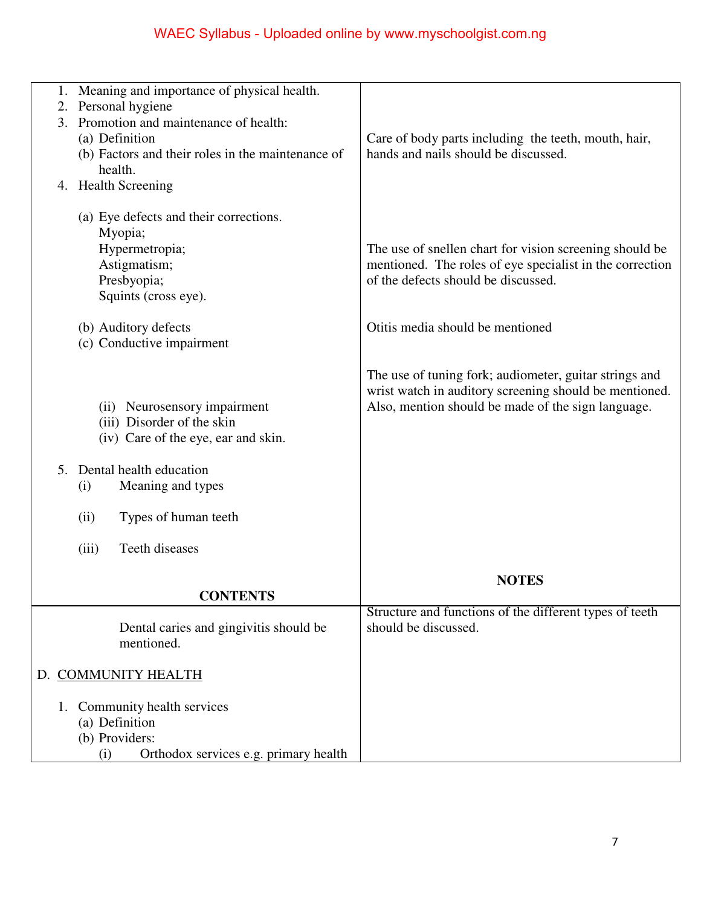| 1. | Meaning and importance of physical health.             |                                                                                 |
|----|--------------------------------------------------------|---------------------------------------------------------------------------------|
| 2. | Personal hygiene                                       |                                                                                 |
| 3. | Promotion and maintenance of health:<br>(a) Definition | Care of body parts including the teeth, mouth, hair,                            |
|    | (b) Factors and their roles in the maintenance of      | hands and nails should be discussed.                                            |
|    | health.                                                |                                                                                 |
|    | 4. Health Screening                                    |                                                                                 |
|    |                                                        |                                                                                 |
|    | (a) Eye defects and their corrections.                 |                                                                                 |
|    | Myopia;                                                |                                                                                 |
|    | Hypermetropia;                                         | The use of snellen chart for vision screening should be                         |
|    | Astigmatism;                                           | mentioned. The roles of eye specialist in the correction                        |
|    | Presbyopia;                                            | of the defects should be discussed.                                             |
|    | Squints (cross eye).                                   |                                                                                 |
|    | (b) Auditory defects                                   | Otitis media should be mentioned                                                |
|    | (c) Conductive impairment                              |                                                                                 |
|    |                                                        |                                                                                 |
|    |                                                        | The use of tuning fork; audiometer, guitar strings and                          |
|    |                                                        | wrist watch in auditory screening should be mentioned.                          |
|    | (ii) Neurosensory impairment                           | Also, mention should be made of the sign language.                              |
|    | (iii) Disorder of the skin                             |                                                                                 |
|    | (iv) Care of the eye, ear and skin.                    |                                                                                 |
|    |                                                        |                                                                                 |
| 5. | Dental health education                                |                                                                                 |
|    | Meaning and types<br>(i)                               |                                                                                 |
|    | (ii)<br>Types of human teeth                           |                                                                                 |
|    |                                                        |                                                                                 |
|    | Teeth diseases<br>(iii)                                |                                                                                 |
|    |                                                        |                                                                                 |
|    |                                                        | <b>NOTES</b>                                                                    |
|    | <b>CONTENTS</b>                                        |                                                                                 |
|    | Dental caries and gingivitis should be                 | Structure and functions of the different types of teeth<br>should be discussed. |
|    | mentioned.                                             |                                                                                 |
|    |                                                        |                                                                                 |
|    | D. COMMUNITY HEALTH                                    |                                                                                 |
|    |                                                        |                                                                                 |
| 1. | Community health services                              |                                                                                 |
|    | (a) Definition                                         |                                                                                 |
|    | (b) Providers:                                         |                                                                                 |
|    | Orthodox services e.g. primary health<br>(i)           |                                                                                 |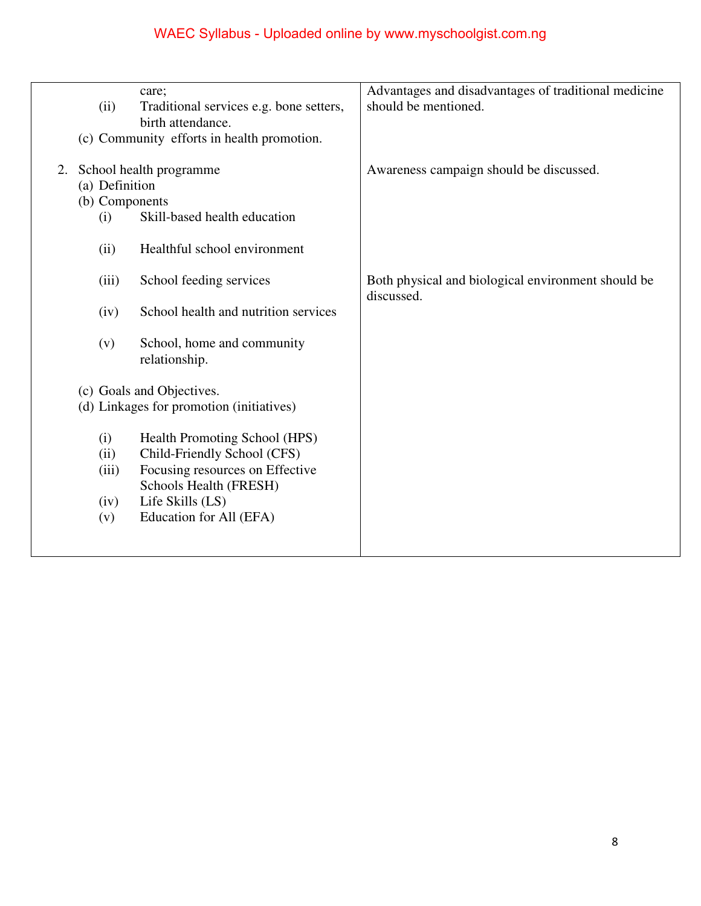|    |                | care;                                                        | Advantages and disadvantages of traditional medicine             |
|----|----------------|--------------------------------------------------------------|------------------------------------------------------------------|
|    | (ii)           | Traditional services e.g. bone setters,<br>birth attendance. | should be mentioned.                                             |
|    |                | (c) Community efforts in health promotion.                   |                                                                  |
|    |                |                                                              |                                                                  |
| 2. |                | School health programme                                      | Awareness campaign should be discussed.                          |
|    | (a) Definition |                                                              |                                                                  |
|    |                | (b) Components                                               |                                                                  |
|    | (i)            | Skill-based health education                                 |                                                                  |
|    | (ii)           | Healthful school environment                                 |                                                                  |
|    | (iii)          | School feeding services                                      | Both physical and biological environment should be<br>discussed. |
|    | (iv)           | School health and nutrition services                         |                                                                  |
|    | (v)            | School, home and community<br>relationship.                  |                                                                  |
|    |                | (c) Goals and Objectives.                                    |                                                                  |
|    |                | (d) Linkages for promotion (initiatives)                     |                                                                  |
|    |                |                                                              |                                                                  |
|    | (i)            | Health Promoting School (HPS)                                |                                                                  |
|    | (ii)           | Child-Friendly School (CFS)                                  |                                                                  |
|    | (iii)          | Focusing resources on Effective                              |                                                                  |
|    |                | Schools Health (FRESH)                                       |                                                                  |
|    | (iv)           | Life Skills (LS)                                             |                                                                  |
|    | (v)            | Education for All (EFA)                                      |                                                                  |
|    |                |                                                              |                                                                  |
|    |                |                                                              |                                                                  |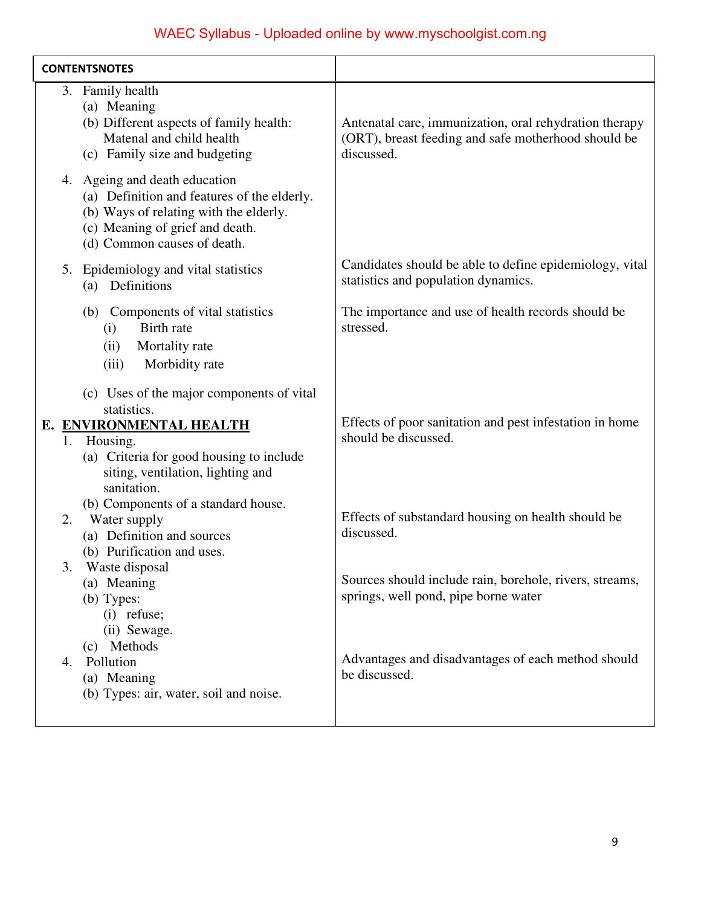| <b>CONTENTSNOTES</b>                                                                                                                                                                     |                                                                                                                             |
|------------------------------------------------------------------------------------------------------------------------------------------------------------------------------------------|-----------------------------------------------------------------------------------------------------------------------------|
| 3. Family health<br>(a) Meaning<br>(b) Different aspects of family health:<br>Matenal and child health<br>(c) Family size and budgeting                                                  | Antenatal care, immunization, oral rehydration therapy<br>(ORT), breast feeding and safe motherhood should be<br>discussed. |
| 4. Ageing and death education<br>(a) Definition and features of the elderly.<br>(b) Ways of relating with the elderly.<br>(c) Meaning of grief and death.<br>(d) Common causes of death. |                                                                                                                             |
| 5. Epidemiology and vital statistics<br>Definitions<br>(a)                                                                                                                               | Candidates should be able to define epidemiology, vital<br>statistics and population dynamics.                              |
| (b) Components of vital statistics<br>Birth rate<br>(i)<br>Mortality rate<br>(ii)<br>Morbidity rate<br>(iii)                                                                             | The importance and use of health records should be<br>stressed.                                                             |
| (c) Uses of the major components of vital<br>statistics.                                                                                                                                 |                                                                                                                             |
| E. ENVIRONMENTAL HEALTH<br>1. Housing.<br>(a) Criteria for good housing to include<br>siting, ventilation, lighting and<br>sanitation.<br>(b) Components of a standard house.            | Effects of poor sanitation and pest infestation in home<br>should be discussed.                                             |
| Water supply<br>2.<br>(a) Definition and sources<br>(b) Purification and uses.                                                                                                           | Effects of substandard housing on health should be<br>discussed.                                                            |
| Waste disposal<br>3.<br>(a) Meaning<br>(b) Types:<br>$(i)$ refuse;<br>(ii) Sewage.<br>(c) Methods                                                                                        | Sources should include rain, borehole, rivers, streams,<br>springs, well pond, pipe borne water                             |
| Pollution<br>4.<br>(a) Meaning<br>(b) Types: air, water, soil and noise.                                                                                                                 | Advantages and disadvantages of each method should<br>be discussed.                                                         |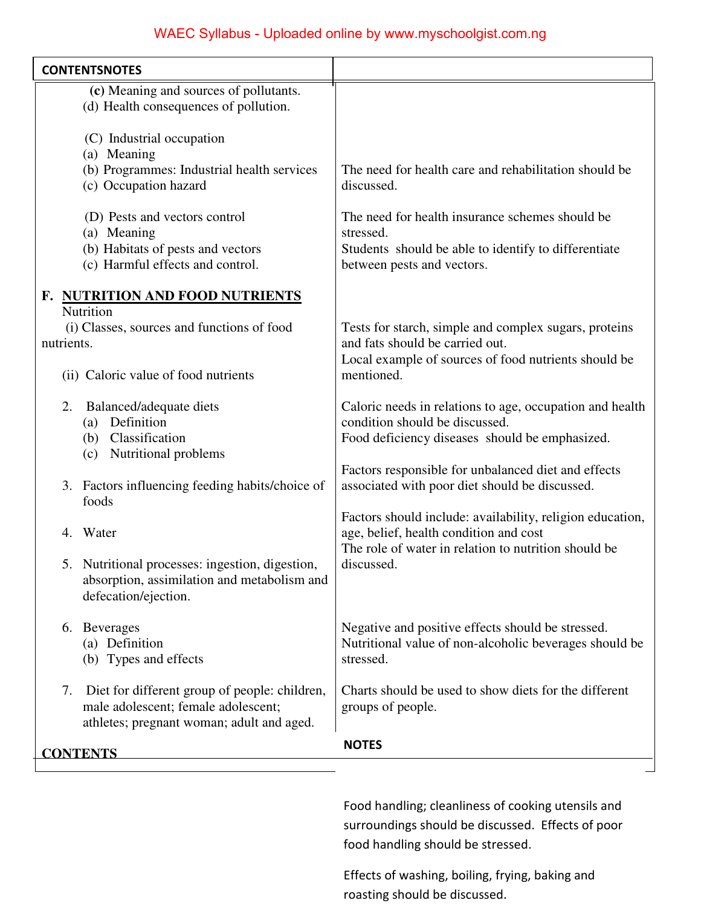| <b>CONTENTSNOTES</b>                                                                                                                    |                                                                                                                                                    |
|-----------------------------------------------------------------------------------------------------------------------------------------|----------------------------------------------------------------------------------------------------------------------------------------------------|
| (c) Meaning and sources of pollutants.<br>(d) Health consequences of pollution.                                                         |                                                                                                                                                    |
| (C) Industrial occupation<br>(a) Meaning<br>(b) Programmes: Industrial health services<br>(c) Occupation hazard                         | The need for health care and rehabilitation should be<br>discussed.                                                                                |
| (D) Pests and vectors control<br>(a) Meaning<br>(b) Habitats of pests and vectors<br>(c) Harmful effects and control.                   | The need for health insurance schemes should be<br>stressed.<br>Students should be able to identify to differentiate<br>between pests and vectors. |
| F. NUTRITION AND FOOD NUTRIENTS<br>Nutrition                                                                                            |                                                                                                                                                    |
| (i) Classes, sources and functions of food<br>nutrients.                                                                                | Tests for starch, simple and complex sugars, proteins<br>and fats should be carried out.                                                           |
| (ii) Caloric value of food nutrients                                                                                                    | Local example of sources of food nutrients should be<br>mentioned.                                                                                 |
| Balanced/adequate diets<br>2.<br>Definition<br>(a)<br>Classification<br>(b)<br>Nutritional problems<br>(c)                              | Caloric needs in relations to age, occupation and health<br>condition should be discussed.<br>Food deficiency diseases should be emphasized.       |
| Factors influencing feeding habits/choice of<br>3.<br>foods                                                                             | Factors responsible for unbalanced diet and effects<br>associated with poor diet should be discussed.                                              |
| Water<br>4.                                                                                                                             | Factors should include: availability, religion education,<br>age, belief, health condition and cost                                                |
| Nutritional processes: ingestion, digestion,<br>absorption, assimilation and metabolism and<br>defecation/ejection.                     | The role of water in relation to nutrition should be<br>discussed.                                                                                 |
| 6. Beverages<br>(a) Definition<br>(b) Types and effects                                                                                 | Negative and positive effects should be stressed.<br>Nutritional value of non-alcoholic beverages should be<br>stressed.                           |
| Diet for different group of people: children,<br>7.<br>male adolescent; female adolescent;<br>athletes; pregnant woman; adult and aged. | Charts should be used to show diets for the different<br>groups of people.                                                                         |
| <b>CONTENTS</b>                                                                                                                         | <b>NOTES</b>                                                                                                                                       |

Food handling; cleanliness of cooking utensils and surroundings should be discussed. Effects of poor food handling should be stressed.

Effects of washing, boiling, frying, baking and roasting should be discussed.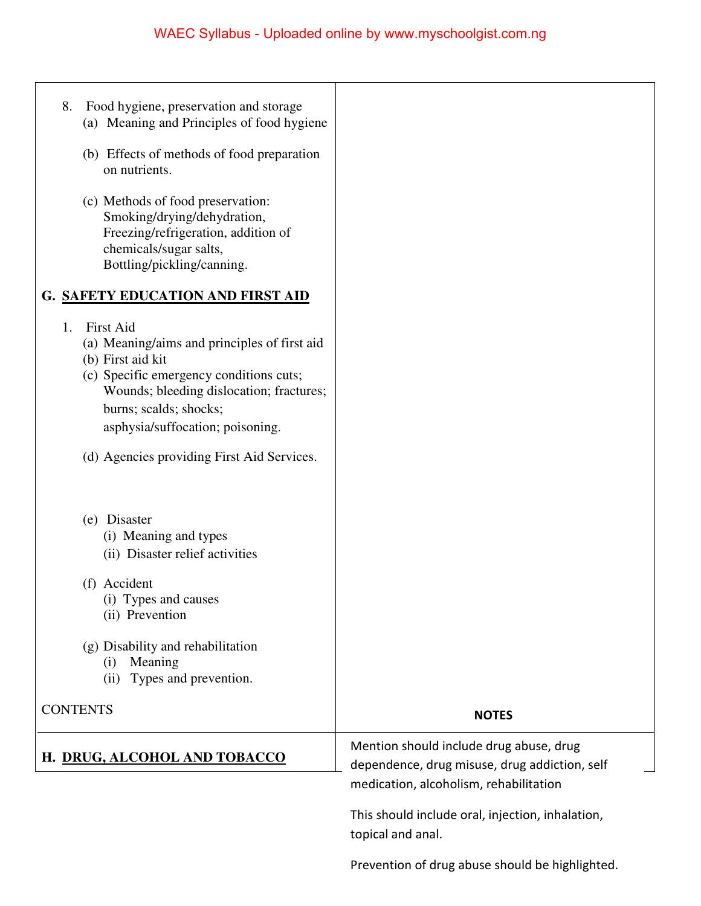| 8. | Food hygiene, preservation and storage<br>(a) Meaning and Principles of food hygiene                                                                                                                                                                                                     |                                                                                                                                    |
|----|------------------------------------------------------------------------------------------------------------------------------------------------------------------------------------------------------------------------------------------------------------------------------------------|------------------------------------------------------------------------------------------------------------------------------------|
|    | (b) Effects of methods of food preparation<br>on nutrients.                                                                                                                                                                                                                              |                                                                                                                                    |
|    | (c) Methods of food preservation:<br>Smoking/drying/dehydration,<br>Freezing/refrigeration, addition of<br>chemicals/sugar salts,<br>Bottling/pickling/canning.                                                                                                                          |                                                                                                                                    |
|    | <b>G. SAFETY EDUCATION AND FIRST AID</b>                                                                                                                                                                                                                                                 |                                                                                                                                    |
| 1. | <b>First Aid</b><br>(a) Meaning/aims and principles of first aid<br>(b) First aid kit<br>(c) Specific emergency conditions cuts;<br>Wounds; bleeding dislocation; fractures;<br>burns; scalds; shocks;<br>asphysia/suffocation; poisoning.<br>(d) Agencies providing First Aid Services. |                                                                                                                                    |
|    | (e) Disaster<br>(i) Meaning and types<br>(ii) Disaster relief activities                                                                                                                                                                                                                 |                                                                                                                                    |
|    | (f) Accident<br>(i) Types and causes<br>(ii) Prevention                                                                                                                                                                                                                                  |                                                                                                                                    |
|    | (g) Disability and rehabilitation<br>Meaning<br>(i)<br>Types and prevention.<br>(ii)                                                                                                                                                                                                     |                                                                                                                                    |
|    | <b>CONTENTS</b>                                                                                                                                                                                                                                                                          | <b>NOTES</b>                                                                                                                       |
|    | H. DRUG, ALCOHOL AND TOBACCO                                                                                                                                                                                                                                                             | Mention should include drug abuse, drug<br>dependence, drug misuse, drug addiction, self<br>medication, alcoholism, rehabilitation |
|    |                                                                                                                                                                                                                                                                                          | This should include oral, injection, inhalation,<br>topical and anal.                                                              |
|    |                                                                                                                                                                                                                                                                                          | Prevention of drug abuse should be highlighted.                                                                                    |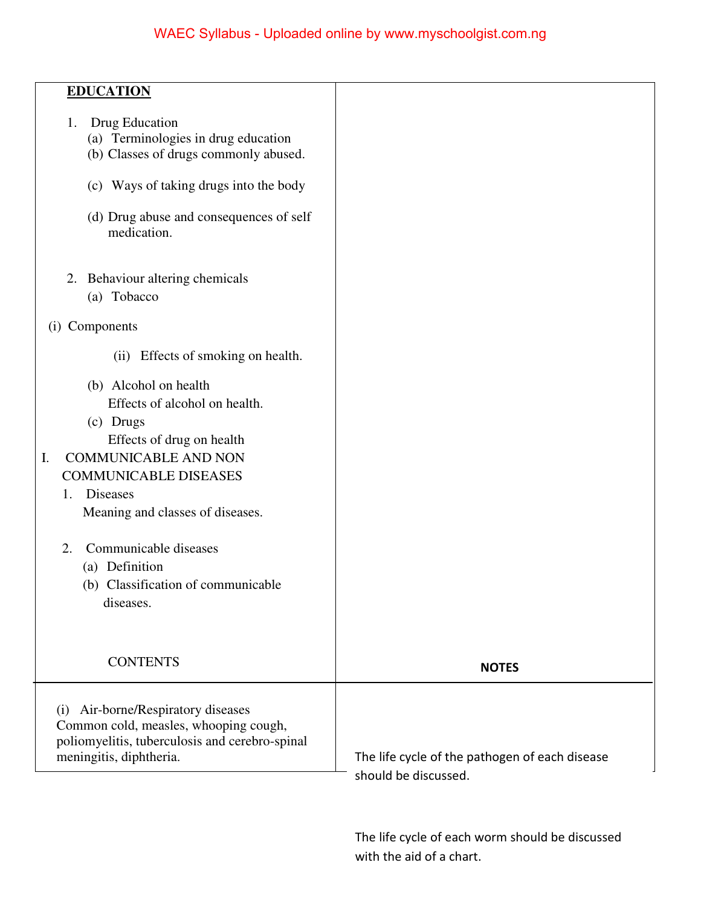| Drug Education<br>1.<br>(a) Terminologies in drug education<br>(b) Classes of drugs commonly abused.<br>(c) Ways of taking drugs into the body<br>(d) Drug abuse and consequences of self<br>medication.<br>Behaviour altering chemicals<br>2.<br>(a) Tobacco<br>(i) Components<br>(ii) Effects of smoking on health.<br>(b) Alcohol on health<br>Effects of alcohol on health.<br>(c) Drugs<br>Effects of drug on health<br><b>COMMUNICABLE AND NON</b><br>I.<br><b>COMMUNICABLE DISEASES</b><br><b>Diseases</b><br>1.<br>Meaning and classes of diseases.<br>Communicable diseases<br>2.<br>(a) Definition<br>(b) Classification of communicable<br>diseases.<br><b>CONTENTS</b><br><b>NOTES</b><br>(i) Air-borne/Respiratory diseases<br>Common cold, measles, whooping cough,<br>poliomyelitis, tuberculosis and cerebro-spinal<br>The life cycle of the pathogen of each disease<br>meningitis, diphtheria. |                  |  |
|------------------------------------------------------------------------------------------------------------------------------------------------------------------------------------------------------------------------------------------------------------------------------------------------------------------------------------------------------------------------------------------------------------------------------------------------------------------------------------------------------------------------------------------------------------------------------------------------------------------------------------------------------------------------------------------------------------------------------------------------------------------------------------------------------------------------------------------------------------------------------------------------------------------|------------------|--|
|                                                                                                                                                                                                                                                                                                                                                                                                                                                                                                                                                                                                                                                                                                                                                                                                                                                                                                                  | <b>EDUCATION</b> |  |
|                                                                                                                                                                                                                                                                                                                                                                                                                                                                                                                                                                                                                                                                                                                                                                                                                                                                                                                  |                  |  |
|                                                                                                                                                                                                                                                                                                                                                                                                                                                                                                                                                                                                                                                                                                                                                                                                                                                                                                                  |                  |  |
|                                                                                                                                                                                                                                                                                                                                                                                                                                                                                                                                                                                                                                                                                                                                                                                                                                                                                                                  |                  |  |
|                                                                                                                                                                                                                                                                                                                                                                                                                                                                                                                                                                                                                                                                                                                                                                                                                                                                                                                  |                  |  |
|                                                                                                                                                                                                                                                                                                                                                                                                                                                                                                                                                                                                                                                                                                                                                                                                                                                                                                                  |                  |  |
|                                                                                                                                                                                                                                                                                                                                                                                                                                                                                                                                                                                                                                                                                                                                                                                                                                                                                                                  |                  |  |
|                                                                                                                                                                                                                                                                                                                                                                                                                                                                                                                                                                                                                                                                                                                                                                                                                                                                                                                  |                  |  |
|                                                                                                                                                                                                                                                                                                                                                                                                                                                                                                                                                                                                                                                                                                                                                                                                                                                                                                                  |                  |  |
|                                                                                                                                                                                                                                                                                                                                                                                                                                                                                                                                                                                                                                                                                                                                                                                                                                                                                                                  |                  |  |
| should be discussed.                                                                                                                                                                                                                                                                                                                                                                                                                                                                                                                                                                                                                                                                                                                                                                                                                                                                                             |                  |  |

The life cycle of each worm should be discussed with the aid of a chart.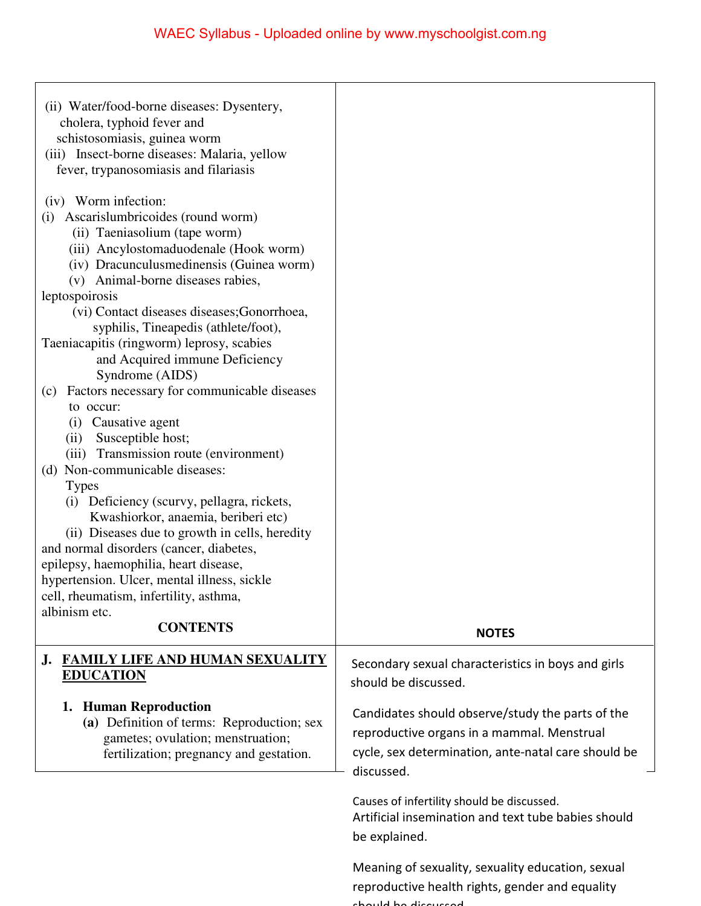|                                                                                                                                                                                                                                                                                                                                       | WAEC Syllabus - Uploaded online by www.myschoolgist.com.ng                                                                                                          |
|---------------------------------------------------------------------------------------------------------------------------------------------------------------------------------------------------------------------------------------------------------------------------------------------------------------------------------------|---------------------------------------------------------------------------------------------------------------------------------------------------------------------|
| (ii) Water/food-borne diseases: Dysentery,<br>cholera, typhoid fever and<br>schistosomiasis, guinea worm<br>(iii) Insect-borne diseases: Malaria, yellow<br>fever, trypanosomiasis and filariasis                                                                                                                                     |                                                                                                                                                                     |
| (iv) Worm infection:<br>Ascarislumbricoides (round worm)<br>(i)<br>(ii) Taeniasolium (tape worm)<br>(iii) Ancylostomaduodenale (Hook worm)<br>(iv) Dracunculus medinensis (Guinea worm)<br>(v) Animal-borne diseases rabies,<br>leptospoirosis<br>(vi) Contact diseases diseases; Gonorrhoea,<br>syphilis, Tineapedis (athlete/foot), |                                                                                                                                                                     |
| Taeniacapitis (ringworm) leprosy, scabies<br>and Acquired immune Deficiency<br>Syndrome (AIDS)<br>Factors necessary for communicable diseases<br>(c)<br>to occur:<br>Causative agent<br>(i)<br>Susceptible host;<br>(ii)<br>(iii) Transmission route (environment)<br>(d) Non-communicable diseases:                                  |                                                                                                                                                                     |
| <b>Types</b><br>Deficiency (scurvy, pellagra, rickets,<br>(i)<br>Kwashiorkor, anaemia, beriberi etc)<br>(ii) Diseases due to growth in cells, heredity<br>and normal disorders (cancer, diabetes,<br>epilepsy, haemophilia, heart disease,<br>hypertension. Ulcer, mental illness, sickle<br>cell, rheumatism, infertility, asthma,   |                                                                                                                                                                     |
| albinism etc.<br><b>CONTENTS</b>                                                                                                                                                                                                                                                                                                      | <b>NOTES</b>                                                                                                                                                        |
| <b>FAMILY LIFE AND HUMAN SEXUALITY</b><br>J.<br><b>EDUCATION</b>                                                                                                                                                                                                                                                                      | Secondary sexual characteristics in boys and girls<br>should be discussed.                                                                                          |
| 1. Human Reproduction<br>(a) Definition of terms: Reproduction; sex<br>gametes; ovulation; menstruation;<br>fertilization; pregnancy and gestation.                                                                                                                                                                                   | Candidates should observe/study the parts of the<br>reproductive organs in a mammal. Menstrual<br>cycle, sex determination, ante-natal care should be<br>discussed. |
|                                                                                                                                                                                                                                                                                                                                       | Causes of infertility should be discussed.<br>Artificial insemination and text tube babies should<br>be explained.                                                  |
|                                                                                                                                                                                                                                                                                                                                       | Meaning of sexuality, sexuality education, sexual<br>reproductive health rights, gender and equality<br>ولمصباط لمم طنوويبوومط                                      |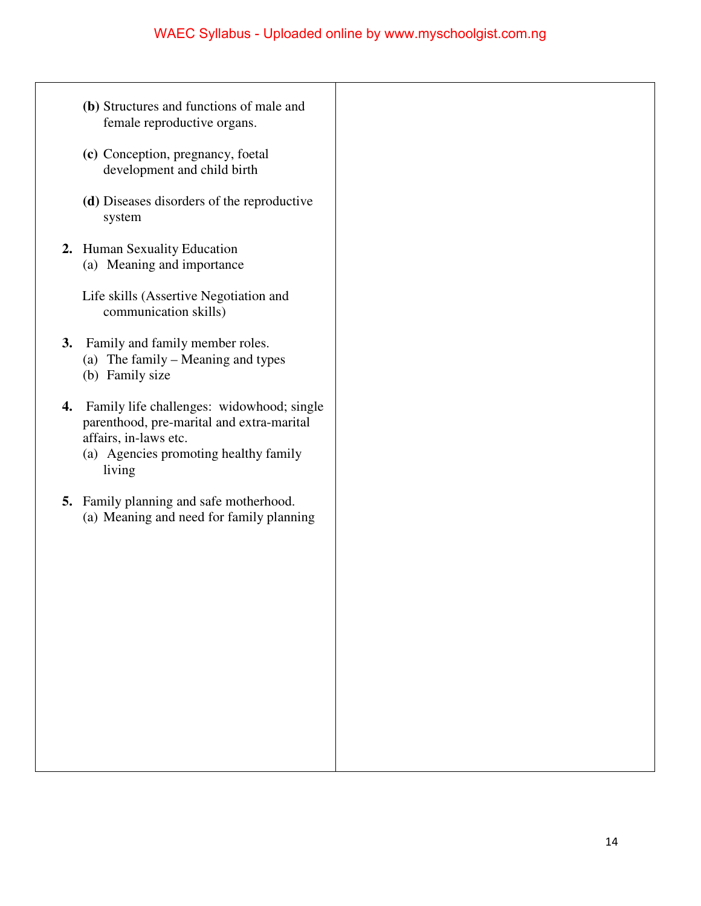- **(b)** Structures and functions of male and female reproductive organs.
- **(c)** Conception, pregnancy, foetal development and child birth
- **(d)** Diseases disorders of the reproductive system
- **2.** Human Sexuality Education (a) Meaning and importance
	- Life skills (Assertive Negotiation and communication skills)
- **3.** Family and family member roles.
	- (a) The family Meaning and types
	- (b) Family size
- **4.** Family life challenges: widowhood; single parenthood, pre-marital and extra-marital affairs, in-laws etc.
	- (a) Agencies promoting healthy family living
- **5.** Family planning and safe motherhood. (a) Meaning and need for family planning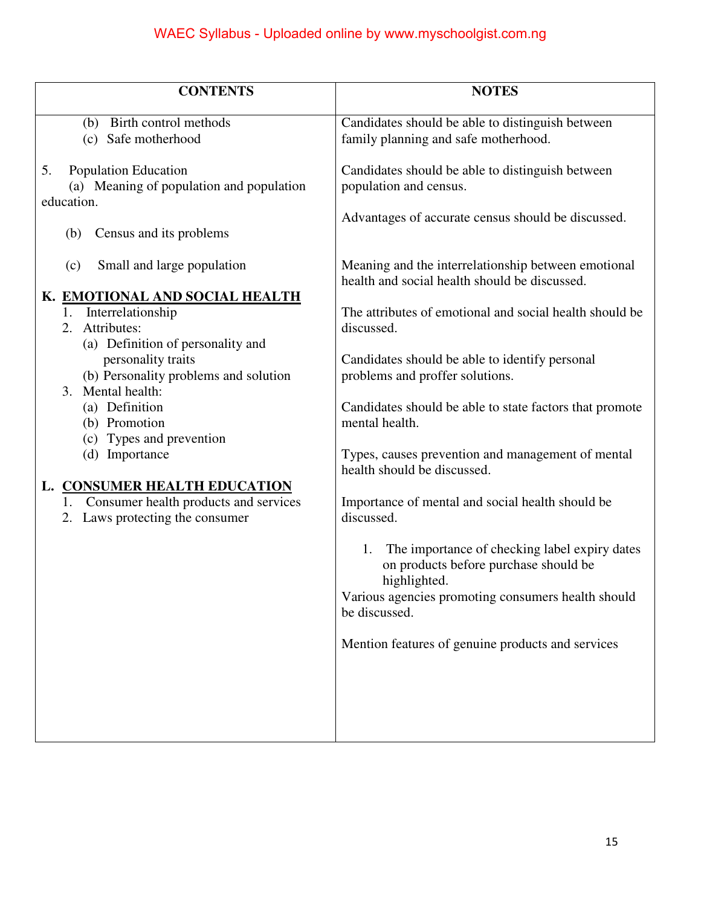| <b>CONTENTS</b>                                             | <b>NOTES</b>                                                                      |
|-------------------------------------------------------------|-----------------------------------------------------------------------------------|
|                                                             |                                                                                   |
| (b) Birth control methods                                   | Candidates should be able to distinguish between                                  |
| (c) Safe motherhood                                         | family planning and safe motherhood.                                              |
|                                                             |                                                                                   |
| <b>Population Education</b><br>5.                           | Candidates should be able to distinguish between                                  |
| (a) Meaning of population and population                    | population and census.                                                            |
| education.                                                  |                                                                                   |
|                                                             | Advantages of accurate census should be discussed.                                |
| Census and its problems<br>(b)                              |                                                                                   |
|                                                             |                                                                                   |
| Small and large population<br>(c)                           | Meaning and the interrelationship between emotional                               |
|                                                             | health and social health should be discussed.                                     |
| K. EMOTIONAL AND SOCIAL HEALTH                              |                                                                                   |
| 1. Interrelationship                                        | The attributes of emotional and social health should be                           |
| 2. Attributes:                                              | discussed.                                                                        |
| (a) Definition of personality and                           |                                                                                   |
| personality traits<br>(b) Personality problems and solution | Candidates should be able to identify personal<br>problems and proffer solutions. |
| 3. Mental health:                                           |                                                                                   |
| (a) Definition                                              | Candidates should be able to state factors that promote                           |
| (b) Promotion                                               | mental health.                                                                    |
| (c) Types and prevention                                    |                                                                                   |
| (d) Importance                                              | Types, causes prevention and management of mental                                 |
|                                                             | health should be discussed.                                                       |
| L. CONSUMER HEALTH EDUCATION                                |                                                                                   |
| Consumer health products and services<br>1.                 | Importance of mental and social health should be                                  |
| 2. Laws protecting the consumer                             | discussed.                                                                        |
|                                                             |                                                                                   |
|                                                             | The importance of checking label expiry dates<br>1.                               |
|                                                             | on products before purchase should be                                             |
|                                                             | highlighted.                                                                      |
|                                                             | Various agencies promoting consumers health should                                |
|                                                             | be discussed.                                                                     |
|                                                             |                                                                                   |
|                                                             | Mention features of genuine products and services                                 |
|                                                             |                                                                                   |
|                                                             |                                                                                   |
|                                                             |                                                                                   |
|                                                             |                                                                                   |
|                                                             |                                                                                   |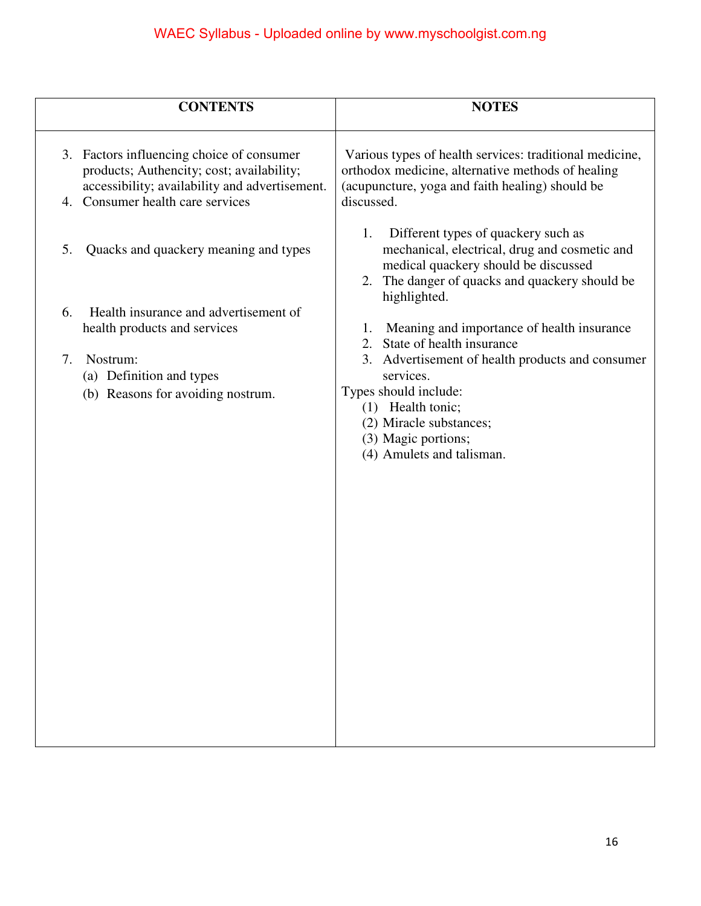|                | <b>CONTENTS</b>                                                                                                                                                              | <b>NOTES</b>                                                                                                                                                                                            |
|----------------|------------------------------------------------------------------------------------------------------------------------------------------------------------------------------|---------------------------------------------------------------------------------------------------------------------------------------------------------------------------------------------------------|
|                | 3. Factors influencing choice of consumer<br>products; Authencity; cost; availability;<br>accessibility; availability and advertisement.<br>4. Consumer health care services | Various types of health services: traditional medicine,<br>orthodox medicine, alternative methods of healing<br>(acupuncture, yoga and faith healing) should be<br>discussed.                           |
| 5.             | Quacks and quackery meaning and types                                                                                                                                        | Different types of quackery such as<br>1.<br>mechanical, electrical, drug and cosmetic and<br>medical quackery should be discussed<br>The danger of quacks and quackery should be<br>2.<br>highlighted. |
| 6.             | Health insurance and advertisement of<br>health products and services                                                                                                        | Meaning and importance of health insurance<br>1.<br>State of health insurance<br>2.                                                                                                                     |
| 7.<br>Nostrum: | (a) Definition and types<br>(b) Reasons for avoiding nostrum.                                                                                                                | 3. Advertisement of health products and consumer<br>services.<br>Types should include:<br>(1) Health tonic;<br>(2) Miracle substances;<br>(3) Magic portions;<br>(4) Amulets and talisman.              |